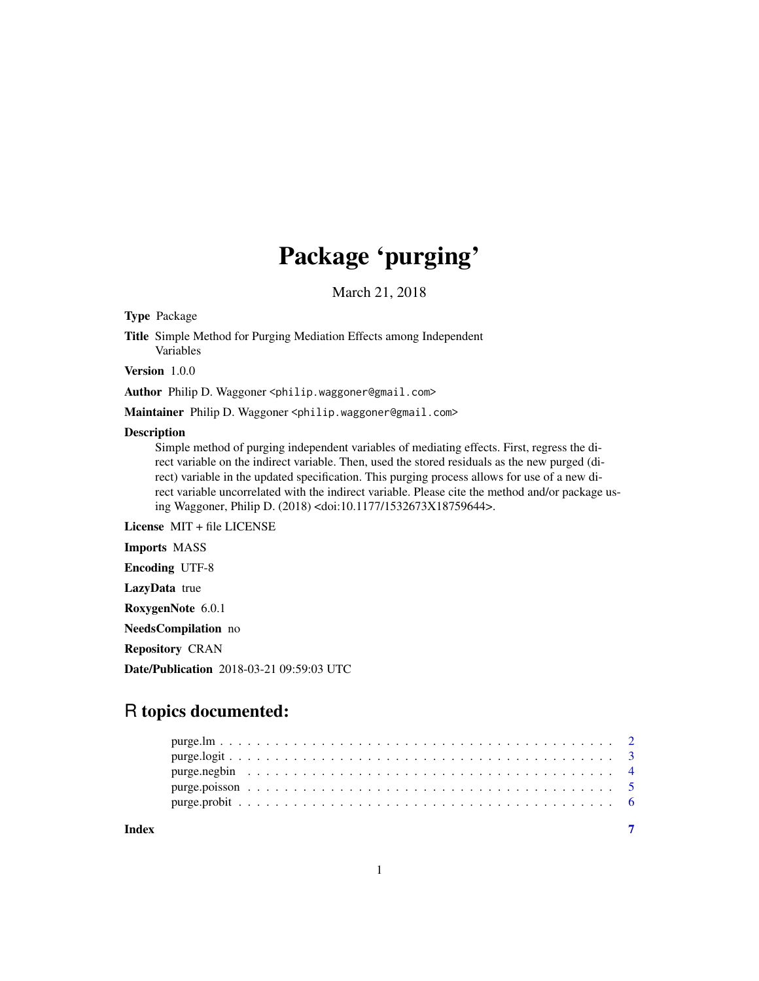## Package 'purging'

March 21, 2018

Type Package

Title Simple Method for Purging Mediation Effects among Independent Variables

Version 1.0.0

Author Philip D. Waggoner <philip.waggoner@gmail.com>

Maintainer Philip D. Waggoner <philip.waggoner@gmail.com>

#### Description

Simple method of purging independent variables of mediating effects. First, regress the direct variable on the indirect variable. Then, used the stored residuals as the new purged (direct) variable in the updated specification. This purging process allows for use of a new direct variable uncorrelated with the indirect variable. Please cite the method and/or package using Waggoner, Philip D. (2018) <doi:10.1177/1532673X18759644>.

License MIT + file LICENSE

Imports MASS

Encoding UTF-8

LazyData true

RoxygenNote 6.0.1

NeedsCompilation no

Repository CRAN

Date/Publication 2018-03-21 09:59:03 UTC

### R topics documented:

**Index** [7](#page-6-0) **7**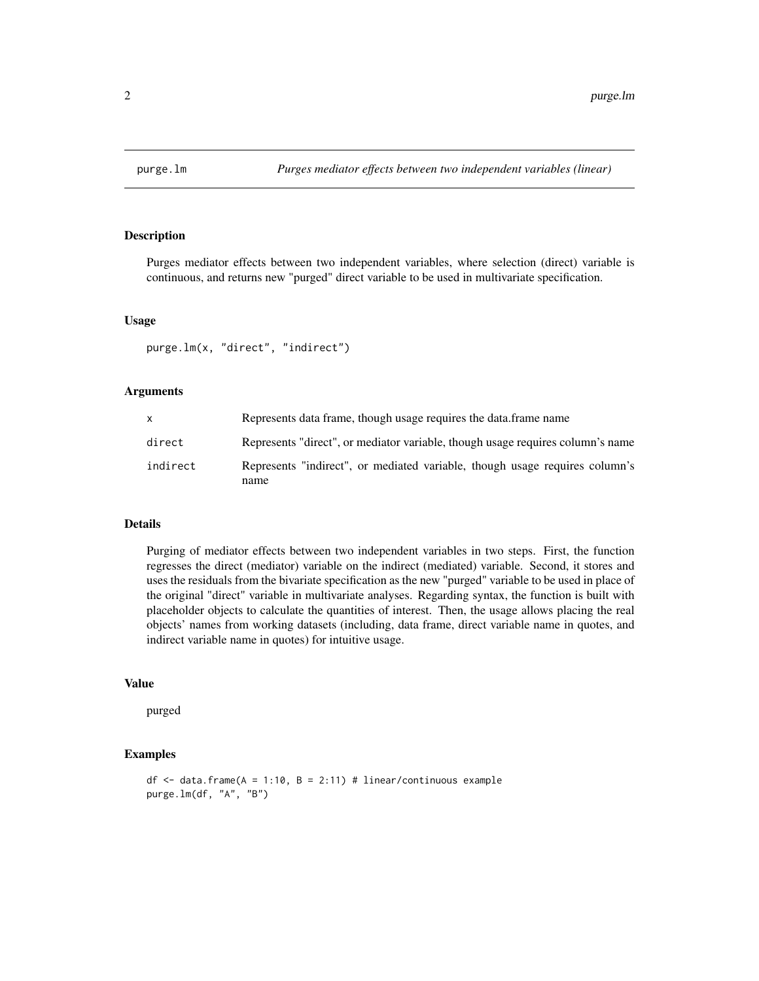<span id="page-1-0"></span>

Purges mediator effects between two independent variables, where selection (direct) variable is continuous, and returns new "purged" direct variable to be used in multivariate specification.

#### Usage

purge.lm(x, "direct", "indirect")

#### Arguments

| X        | Represents data frame, though usage requires the data frame name                    |
|----------|-------------------------------------------------------------------------------------|
| direct   | Represents "direct", or mediator variable, though usage requires column's name      |
| indirect | Represents "indirect", or mediated variable, though usage requires column's<br>name |

#### Details

Purging of mediator effects between two independent variables in two steps. First, the function regresses the direct (mediator) variable on the indirect (mediated) variable. Second, it stores and uses the residuals from the bivariate specification as the new "purged" variable to be used in place of the original "direct" variable in multivariate analyses. Regarding syntax, the function is built with placeholder objects to calculate the quantities of interest. Then, the usage allows placing the real objects' names from working datasets (including, data frame, direct variable name in quotes, and indirect variable name in quotes) for intuitive usage.

#### Value

purged

#### Examples

```
df \le data.frame(A = 1:10, B = 2:11) # linear/continuous example
purge.lm(df, "A", "B")
```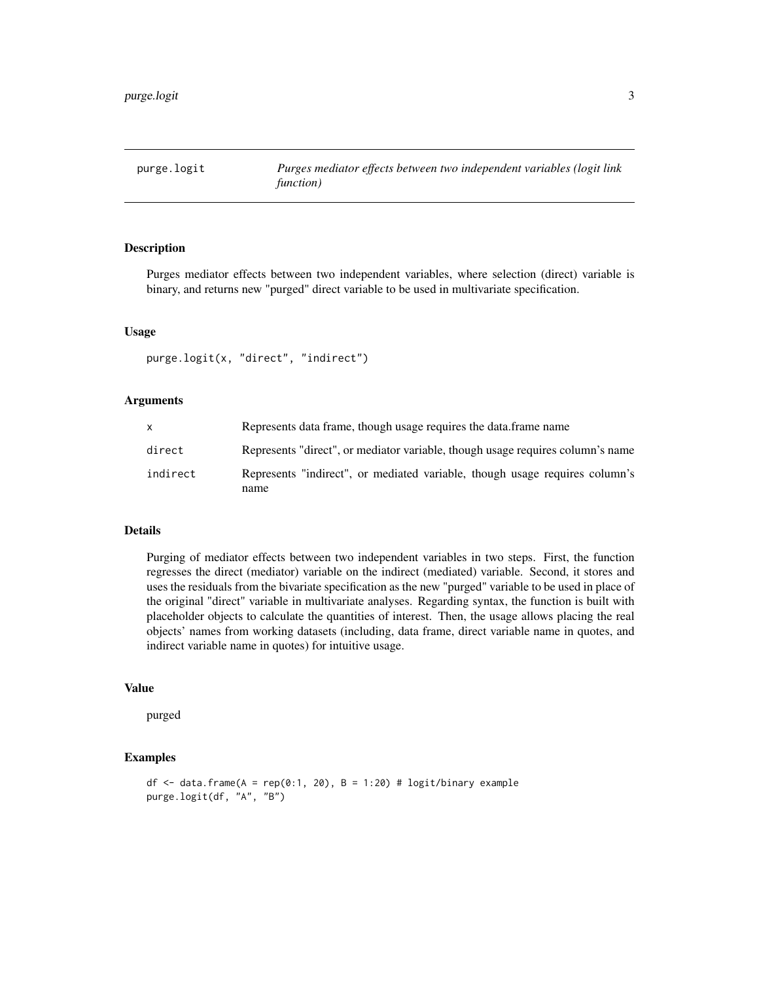<span id="page-2-0"></span>

Purges mediator effects between two independent variables, where selection (direct) variable is binary, and returns new "purged" direct variable to be used in multivariate specification.

#### Usage

```
purge.logit(x, "direct", "indirect")
```
#### **Arguments**

|          | Represents data frame, though usage requires the data frame name                    |
|----------|-------------------------------------------------------------------------------------|
| direct   | Represents "direct", or mediator variable, though usage requires column's name      |
| indirect | Represents "indirect", or mediated variable, though usage requires column's<br>name |

#### Details

Purging of mediator effects between two independent variables in two steps. First, the function regresses the direct (mediator) variable on the indirect (mediated) variable. Second, it stores and uses the residuals from the bivariate specification as the new "purged" variable to be used in place of the original "direct" variable in multivariate analyses. Regarding syntax, the function is built with placeholder objects to calculate the quantities of interest. Then, the usage allows placing the real objects' names from working datasets (including, data frame, direct variable name in quotes, and indirect variable name in quotes) for intuitive usage.

#### Value

purged

#### Examples

```
df <- data.frame(A = rep(0:1, 20), B = 1:20) # logit/binary example
purge.logit(df, "A", "B")
```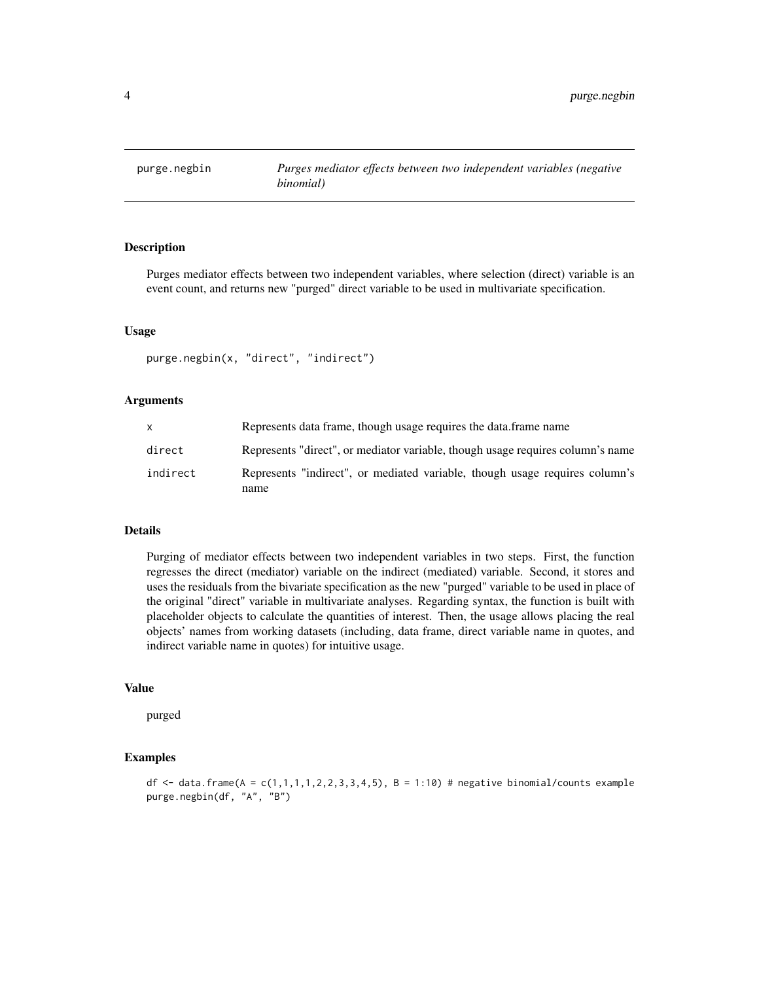<span id="page-3-0"></span>

Purges mediator effects between two independent variables, where selection (direct) variable is an event count, and returns new "purged" direct variable to be used in multivariate specification.

#### Usage

```
purge.negbin(x, "direct", "indirect")
```
#### Arguments

|          | Represents data frame, though usage requires the data.frame name                    |
|----------|-------------------------------------------------------------------------------------|
| direct   | Represents "direct", or mediator variable, though usage requires column's name      |
| indirect | Represents "indirect", or mediated variable, though usage requires column's<br>name |

#### Details

Purging of mediator effects between two independent variables in two steps. First, the function regresses the direct (mediator) variable on the indirect (mediated) variable. Second, it stores and uses the residuals from the bivariate specification as the new "purged" variable to be used in place of the original "direct" variable in multivariate analyses. Regarding syntax, the function is built with placeholder objects to calculate the quantities of interest. Then, the usage allows placing the real objects' names from working datasets (including, data frame, direct variable name in quotes, and indirect variable name in quotes) for intuitive usage.

#### Value

purged

#### Examples

df  $\le$  data.frame(A = c(1,1,1,1,2,2,3,3,4,5), B = 1:10) # negative binomial/counts example purge.negbin(df, "A", "B")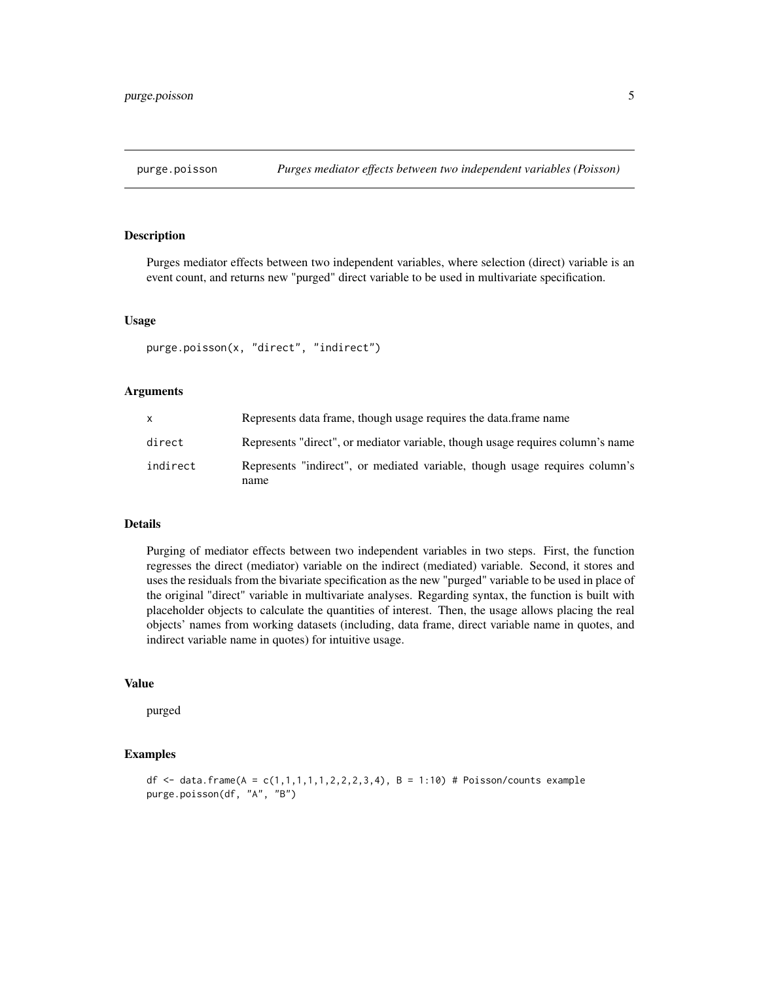<span id="page-4-0"></span>

Purges mediator effects between two independent variables, where selection (direct) variable is an event count, and returns new "purged" direct variable to be used in multivariate specification.

#### Usage

purge.poisson(x, "direct", "indirect")

#### Arguments

| X        | Represents data frame, though usage requires the data frame name                    |
|----------|-------------------------------------------------------------------------------------|
| direct   | Represents "direct", or mediator variable, though usage requires column's name      |
| indirect | Represents "indirect", or mediated variable, though usage requires column's<br>name |

#### Details

Purging of mediator effects between two independent variables in two steps. First, the function regresses the direct (mediator) variable on the indirect (mediated) variable. Second, it stores and uses the residuals from the bivariate specification as the new "purged" variable to be used in place of the original "direct" variable in multivariate analyses. Regarding syntax, the function is built with placeholder objects to calculate the quantities of interest. Then, the usage allows placing the real objects' names from working datasets (including, data frame, direct variable name in quotes, and indirect variable name in quotes) for intuitive usage.

#### Value

purged

#### Examples

```
df <- data.frame(A = c(1,1,1,1,1,2,2,2,3,4), B = 1:10) # Poisson/counts example
purge.poisson(df, "A", "B")
```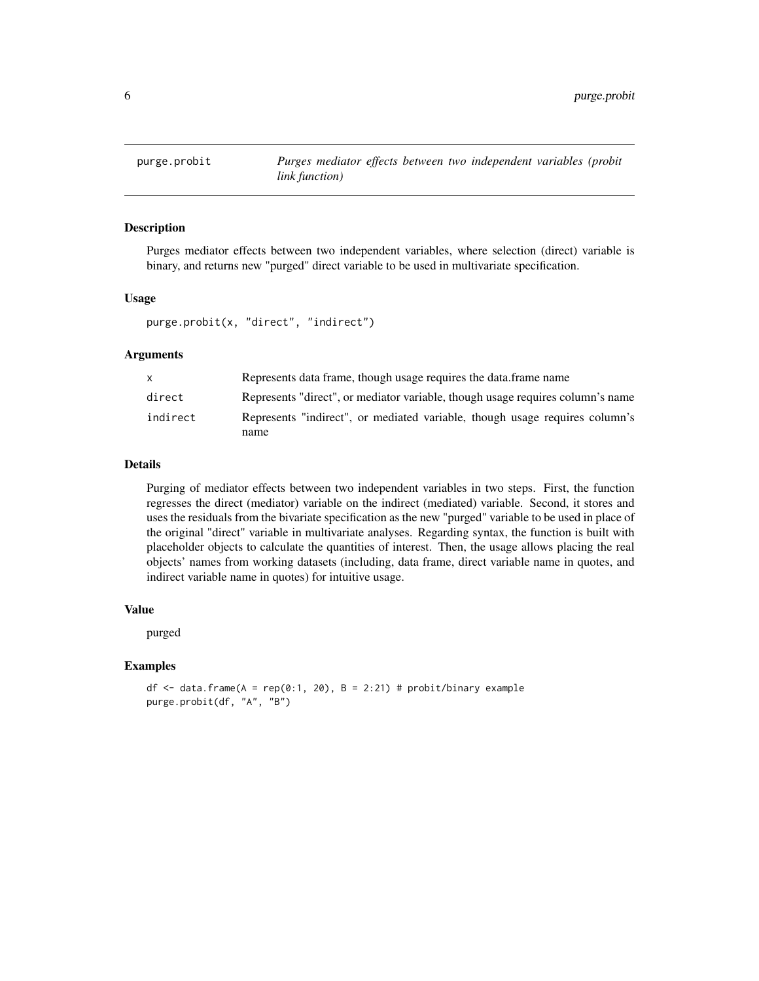<span id="page-5-0"></span>

Purges mediator effects between two independent variables, where selection (direct) variable is binary, and returns new "purged" direct variable to be used in multivariate specification.

#### Usage

```
purge.probit(x, "direct", "indirect")
```
#### Arguments

|          | Represents data frame, though usage requires the data frame name               |
|----------|--------------------------------------------------------------------------------|
| direct   | Represents "direct", or mediator variable, though usage requires column's name |
| indirect | Represents "indirect", or mediated variable, though usage requires column's    |
|          | name                                                                           |

#### Details

Purging of mediator effects between two independent variables in two steps. First, the function regresses the direct (mediator) variable on the indirect (mediated) variable. Second, it stores and uses the residuals from the bivariate specification as the new "purged" variable to be used in place of the original "direct" variable in multivariate analyses. Regarding syntax, the function is built with placeholder objects to calculate the quantities of interest. Then, the usage allows placing the real objects' names from working datasets (including, data frame, direct variable name in quotes, and indirect variable name in quotes) for intuitive usage.

#### Value

purged

#### Examples

df <- data.frame( $A = rep(0:1, 20)$ ,  $B = 2:21$ ) # probit/binary example purge.probit(df, "A", "B")